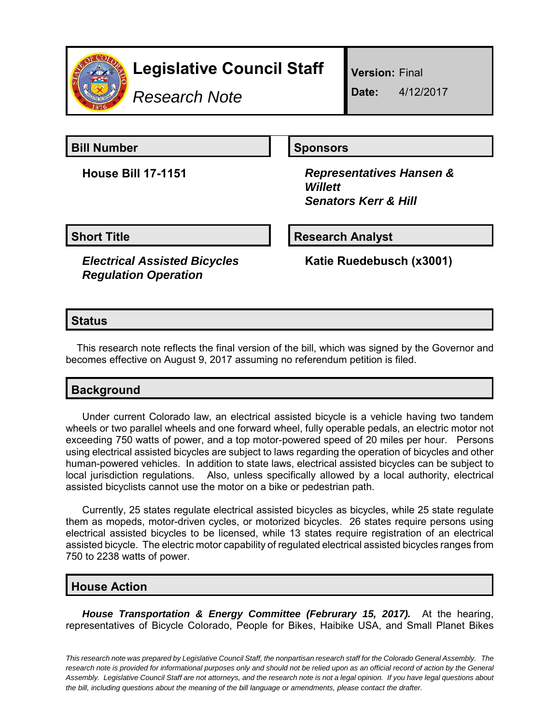

# **Legislative Council Staff**

*Research Note*

**Version:** Final

**Date:** 4/12/2017

**Bill Number Sponsors** 

**House Bill 17-1151** *Representatives Hansen & Willett Senators Kerr & Hill*

**Short Title Community Community Community Research Analyst** 

*Electrical Assisted Bicycles Regulation Operation*

**Katie Ruedebusch (x3001)**

# **Status**

This research note reflects the final version of the bill, which was signed by the Governor and becomes effective on August 9, 2017 assuming no referendum petition is filed.

# **Background**

Under current Colorado law, an electrical assisted bicycle is a vehicle having two tandem wheels or two parallel wheels and one forward wheel, fully operable pedals, an electric motor not exceeding 750 watts of power, and a top motor-powered speed of 20 miles per hour. Persons using electrical assisted bicycles are subject to laws regarding the operation of bicycles and other human-powered vehicles. In addition to state laws, electrical assisted bicycles can be subject to local jurisdiction regulations. Also, unless specifically allowed by a local authority, electrical assisted bicyclists cannot use the motor on a bike or pedestrian path.

Currently, 25 states regulate electrical assisted bicycles as bicycles, while 25 state regulate them as mopeds, motor-driven cycles, or motorized bicycles. 26 states require persons using electrical assisted bicycles to be licensed, while 13 states require registration of an electrical assisted bicycle. The electric motor capability of regulated electrical assisted bicycles ranges from 750 to 2238 watts of power.

## **House Action**

*House Transportation & Energy Committee (Februrary 15, 2017).* At the hearing, representatives of Bicycle Colorado, People for Bikes, Haibike USA, and Small Planet Bikes

*This research note was prepared by Legislative Council Staff, the nonpartisan research staff for the Colorado General Assembly. The research note is provided for informational purposes only and should not be relied upon as an official record of action by the General Assembly. Legislative Council Staff are not attorneys, and the research note is not a legal opinion. If you have legal questions about the bill, including questions about the meaning of the bill language or amendments, please contact the drafter.*